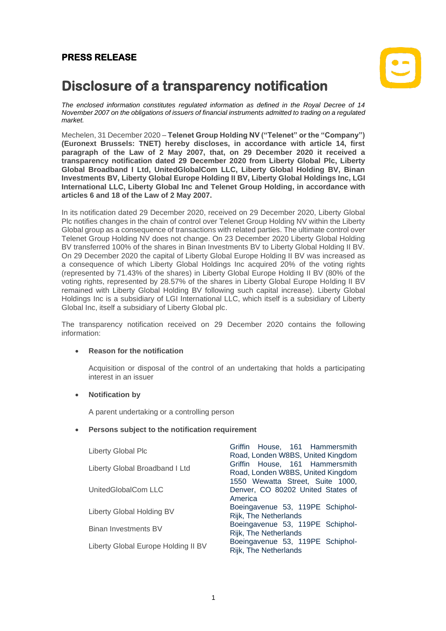## **PRESS RELEASE**



# **Disclosure of a transparency notification**

*The enclosed information constitutes regulated information as defined in the Royal Decree of 14 November 2007 on the obligations of issuers of financial instruments admitted to trading on a regulated market.*

Mechelen, 31 December 2020 – **Telenet Group Holding NV ("Telenet" or the "Company") (Euronext Brussels: TNET) hereby discloses, in accordance with article 14, first paragraph of the Law of 2 May 2007, that, on 29 December 2020 it received a transparency notification dated 29 December 2020 from Liberty Global Plc, Liberty Global Broadband I Ltd, UnitedGlobalCom LLC, Liberty Global Holding BV, Binan Investments BV, Liberty Global Europe Holding II BV, Liberty Global Holdings Inc, LGI International LLC, Liberty Global Inc and Telenet Group Holding, in accordance with articles 6 and 18 of the Law of 2 May 2007.**

In its notification dated 29 December 2020, received on 29 December 2020, Liberty Global Plc notifies changes in the chain of control over Telenet Group Holding NV within the Liberty Global group as a consequence of transactions with related parties. The ultimate control over Telenet Group Holding NV does not change. On 23 December 2020 Liberty Global Holding BV transferred 100% of the shares in Binan Investments BV to Liberty Global Holding II BV. On 29 December 2020 the capital of Liberty Global Europe Holding II BV was increased as a consequence of which Liberty Global Holdings Inc acquired 20% of the voting rights (represented by 71.43% of the shares) in Liberty Global Europe Holding II BV (80% of the voting rights, represented by 28.57% of the shares in Liberty Global Europe Holding II BV remained with Liberty Global Holding BV following such capital increase). Liberty Global Holdings Inc is a subsidiary of LGI International LLC, which itself is a subsidiary of Liberty Global Inc, itself a subsidiary of Liberty Global plc.

The transparency notification received on 29 December 2020 contains the following information:

#### • **Reason for the notification**

Acquisition or disposal of the control of an undertaking that holds a participating interest in an issuer

#### • **Notification by**

A parent undertaking or a controlling person

#### • **Persons subject to the notification requirement**

| Liberty Global Plc                  | Griffin House, 161 Hammersmith<br>Road, Londen W8BS, United Kingdom              |
|-------------------------------------|----------------------------------------------------------------------------------|
| Liberty Global Broadband I Ltd      | Griffin House, 161 Hammersmith<br>Road, Londen W8BS, United Kingdom              |
| UnitedGlobalCom LLC                 | 1550 Wewatta Street, Suite 1000,<br>Denver, CO 80202 United States of<br>America |
| Liberty Global Holding BV           | Boeingavenue 53, 119PE Schiphol-<br>Rijk, The Netherlands                        |
| <b>Binan Investments BV</b>         | Boeingavenue 53, 119PE Schiphol-<br>Rijk, The Netherlands                        |
| Liberty Global Europe Holding II BV | Boeingavenue 53, 119PE Schiphol-<br>Rijk, The Netherlands                        |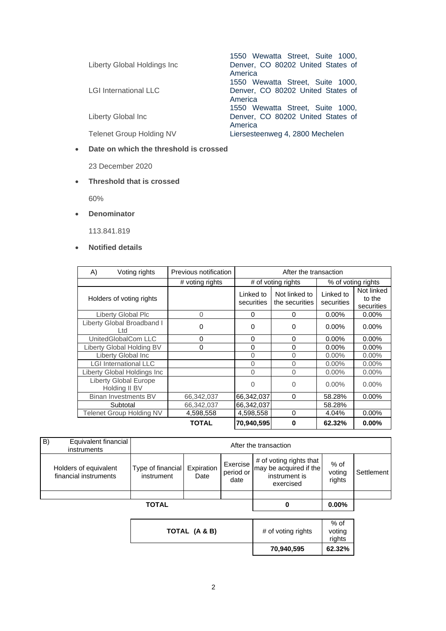| Liberty Global Holdings Inc     | 1550 Wewatta Street, Suite 1000,<br>Denver, CO 80202 United States of<br>America |
|---------------------------------|----------------------------------------------------------------------------------|
| <b>LGI International LLC</b>    | 1550 Wewatta Street, Suite 1000,<br>Denver, CO 80202 United States of            |
| Liberty Global Inc              | America<br>1550 Wewatta Street, Suite 1000,<br>Denver, CO 80202 United States of |
| <b>Telenet Group Holding NV</b> | America<br>Liersesteenweg 4, 2800 Mechelen                                       |

#### • **Date on which the threshold is crossed**

23 December 2020

#### • **Threshold that is crossed**

60%

• **Denominator**

113.841.819

### • **Notified details**

| A) | Voting rights                                 | Previous notification | After the transaction   |                                 |                         |                                    |
|----|-----------------------------------------------|-----------------------|-------------------------|---------------------------------|-------------------------|------------------------------------|
|    |                                               | # voting rights       | # of voting rights      |                                 | % of voting rights      |                                    |
|    | Holders of voting rights                      |                       | Linked to<br>securities | Not linked to<br>the securities | Linked to<br>securities | Not linked<br>to the<br>securities |
|    | Liberty Global Plc                            | $\Omega$              | 0                       | $\Omega$                        | $0.00\%$                | $0.00\%$                           |
|    | Liberty Global Broadband I<br>Ltd             | 0                     | 0                       | 0                               | $0.00\%$                | $0.00\%$                           |
|    | UnitedGlobalCom LLC                           | 0                     | 0                       | 0                               | $0.00\%$                | $0.00\%$                           |
|    | Liberty Global Holding BV                     | 0                     | 0                       | $\Omega$                        | $0.00\%$                | $0.00\%$                           |
|    | Liberty Global Inc                            |                       | 0                       | $\Omega$                        | $0.00\%$                | $0.00\%$                           |
|    | <b>LGI International LLC</b>                  |                       | 0                       | $\Omega$                        | $0.00\%$                | $0.00\%$                           |
|    | Liberty Global Holdings Inc                   |                       | $\Omega$                | $\Omega$                        | $0.00\%$                | $0.00\%$                           |
|    | <b>Liberty Global Europe</b><br>Holding II BV |                       | 0                       | $\Omega$                        | $0.00\%$                | $0.00\%$                           |
|    | Binan Investments BV                          | 66,342,037            | 66,342,037              | $\Omega$                        | 58.28%                  | $0.00\%$                           |
|    | Subtotal                                      | 66,342,037            | 66,342,037              |                                 | 58.28%                  |                                    |
|    | <b>Telenet Group Holding NV</b>               | 4,598,558             | 4,598,558               | $\Omega$                        | 4.04%                   | $0.00\%$                           |
|    |                                               | <b>TOTAL</b>          | 70.940.595              | $\mathbf{0}$                    | 62.32%                  | $0.00\%$                           |

|    |                                                | <b>TOTAL</b>                    |                    |                               |                                                                                 | $0.00\%$                 |            |
|----|------------------------------------------------|---------------------------------|--------------------|-------------------------------|---------------------------------------------------------------------------------|--------------------------|------------|
|    | Holders of equivalent<br>financial instruments | Type of financial<br>instrument | Expiration<br>Date | Exercise<br>period or<br>date | # of voting rights that<br>may be acquired if the<br>instrument is<br>exercised | % of<br>voting<br>rights | Settlement |
| B) | Equivalent financial<br>instruments            | After the transaction           |                    |                               |                                                                                 |                          |            |

|               | 70,940,595         | 62.32%                   |
|---------------|--------------------|--------------------------|
| TOTAL (A & B) | # of voting rights | % of<br>voting<br>rights |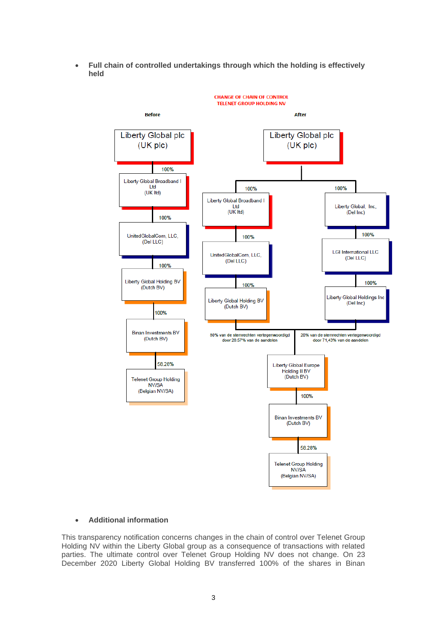• **Full chain of controlled undertakings through which the holding is effectively held**



#### • **Additional information**

This transparency notification concerns changes in the chain of control over Telenet Group Holding NV within the Liberty Global group as a consequence of transactions with related parties. The ultimate control over Telenet Group Holding NV does not change. On 23 December 2020 Liberty Global Holding BV transferred 100% of the shares in Binan